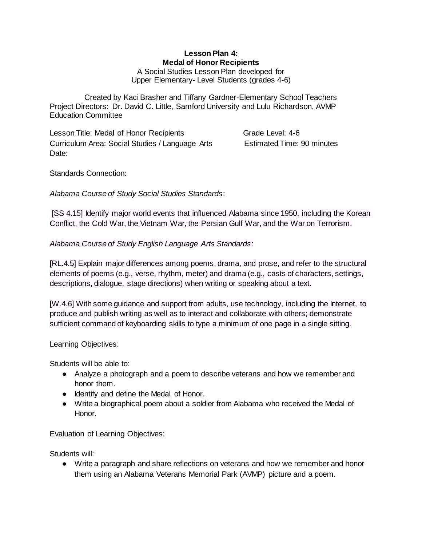#### **Lesson Plan 4: Medal of Honor Recipients** A Social Studies Lesson Plan developed for

Upper Elementary- Level Students (grades 4-6)

Created by Kaci Brasher and Tiffany Gardner-Elementary School Teachers Project Directors: Dr. David C. Little, Samford University and Lulu Richardson, AVMP Education Committee

Lesson Title: Medal of Honor Recipients Grade Level: 4-6 Curriculum Area: Social Studies / Language Arts Estimated Time: 90 minutes Date:

Standards Connection:

*Alabama Course of Study Social Studies Standards*:

[SS 4.15] Identify major world events that influenced Alabama since 1950, including the Korean Conflict, the Cold War, the Vietnam War, the Persian Gulf War, and the War on Terrorism.

*Alabama Course of Study English Language Arts Standards*:

[RL.4.5] Explain major differences among poems, drama, and prose, and refer to the structural elements of poems (e.g., verse, rhythm, meter) and drama (e.g., casts of characters, settings, descriptions, dialogue, stage directions) when writing or speaking about a text.

[W.4.6] With some guidance and support from adults, use technology, including the Internet, to produce and publish writing as well as to interact and collaborate with others; demonstrate sufficient command of keyboarding skills to type a minimum of one page in a single sitting.

Learning Objectives:

Students will be able to:

- Analyze a photograph and a poem to describe veterans and how we remember and honor them.
- Identify and define the Medal of Honor.
- Write a biographical poem about a soldier from Alabama who received the Medal of Honor.

Evaluation of Learning Objectives:

Students will:

● Write a paragraph and share reflections on veterans and how we remember and honor them using an Alabama Veterans Memorial Park (AVMP) picture and a poem.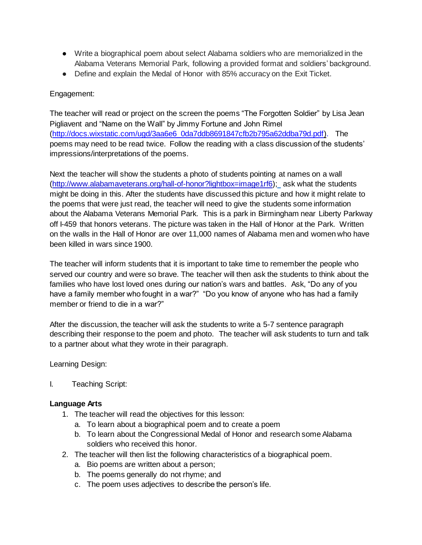- Write a biographical poem about select Alabama soldiers who are memorialized in the Alabama Veterans Memorial Park, following a provided format and soldiers' background.
- Define and explain the Medal of Honor with 85% accuracy on the Exit Ticket.

## Engagement:

The teacher will read or project on the screen the poems "The Forgotten Soldier" by Lisa Jean Pigliavent and "Name on the Wall" by Jimmy Fortune and John Rimel [\(http://docs.wixstatic.com/ugd/3aa6e6\\_0da7ddb8691847cfb2b795a62ddba79d.pdf\).](http://docs.wixstatic.com/ugd/3aa6e6_0da7ddb8691847cfb2b795a62ddba79d.pdf) The poems may need to be read twice. Follow the reading with a class discussion of the students' impressions/interpretations of the poems.

Next the teacher will show the students a photo of students pointing at names on a wall [\(http://www.alabamaveterans.org/hall-of-honor?lightbox=image1rf6\);](http://www.alabamaveterans.org/hall-of-honor?lightbox=image1rf6) ask what the students might be doing in this. After the students have discussed this picture and how it might relate to the poems that were just read, the teacher will need to give the students some information about the Alabama Veterans Memorial Park. This is a park in Birmingham near Liberty Parkway off I-459 that honors veterans. The picture was taken in the Hall of Honor at the Park. Written on the walls in the Hall of Honor are over 11,000 names of Alabama men and women who have been killed in wars since 1900.

The teacher will inform students that it is important to take time to remember the people who served our country and were so brave. The teacher will then ask the students to think about the families who have lost loved ones during our nation's wars and battles. Ask, "Do any of you have a family member who fought in a war?" "Do you know of anyone who has had a family member or friend to die in a war?"

After the discussion, the teacher will ask the students to write a 5-7 sentence paragraph describing their response to the poem and photo. The teacher will ask students to turn and talk to a partner about what they wrote in their paragraph.

Learning Design:

I. Teaching Script:

#### **Language Arts**

- 1. The teacher will read the objectives for this lesson:
	- a. To learn about a biographical poem and to create a poem
	- b. To learn about the Congressional Medal of Honor and research some Alabama soldiers who received this honor.
- 2. The teacher will then list the following characteristics of a biographical poem.
	- a. Bio poems are written about a person;
	- b. The poems generally do not rhyme; and
	- c. The poem uses adjectives to describe the person's life.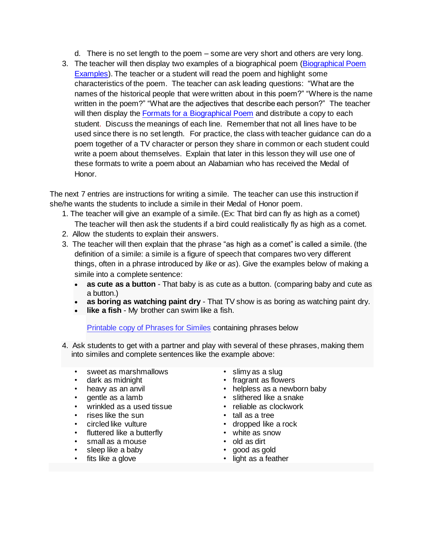- d. There is no set length to the poem some are very short and others are very long.
- 3. The teacher will then display two examples of a biographical poem (Biographical Poem [Examples\)](http://docs.wixstatic.com/ugd/3aa6e6_ca39efdca65e4ce9960cf163a2eb07c0.pdf). The teacher or a student will read the poem and highlight some characteristics of the poem. The teacher can ask leading questions: "What are the names of the historical people that were written about in this poem?" "Where is the name written in the poem?" "What are the adjectives that describe each person?" The teacher will then display the Formats [for a Biographical Poem](http://docs.wixstatic.com/ugd/3aa6e6_87894dd2362c4c88ad06dfa17c74a597.pdf) and distribute a copy to each student. Discuss the meanings of each line. Remember that not all lines have to be used since there is no set length. For practice, the class with teacher guidance can do a poem together of a TV character or person they share in common or each student could write a poem about themselves. Explain that later in this lesson they will use one of these formats to write a poem about an Alabamian who has received the Medal of Honor.

The next 7 entries are instructions for writing a simile. The teacher can use this instruction if she/he wants the students to include a simile in their Medal of Honor poem.

- 1. The teacher will give an example of a simile. (Ex: That bird can fly as high as a comet) The teacher will then ask the students if a bird could realistically fly as high as a comet.
- 2. Allow the students to explain their answers.
- 3. The teacher will then explain that the phrase "as high as a comet" is called a simile. (the definition of a simile: a simile is a figure of speech that compares two very different things, often in a phrase introduced by *like* or *as*). Give the examples below of making a simile into a complete sentence:
	- **as cute as a button** That baby is as cute as a button. (comparing baby and cute as a button.)
	- **as boring as watching paint dry** That TV show is as boring as watching paint dry.
	- **like a fish** My brother can swim like a fish.

[Printable copy of Phrases for Similes](http://docs.wixstatic.com/ugd/3aa6e6_8ed2fa9cf7444cecaaad083c81df89d8.pdf) containing phrases below

- 4. Ask students to get with a partner and play with several of these phrases, making them into similes and complete sentences like the example above:
	- sweet as marshmallows
	- dark as midnight
	- heavy as an anvil
	- gentle as a lamb
	- wrinkled as a used tissue
	- rises like the sun
	- circled like vulture
	- fluttered like a butterfly
	- small as a mouse
	- sleep like a baby
	- fits like a glove
- slimy as a slug
- fragrant as flowers
- helpless as a newborn baby
- slithered like a snake
- reliable as clockwork
- tall as a tree
- dropped like a rock
- white as snow
- old as dirt
- good as gold
- light as a feather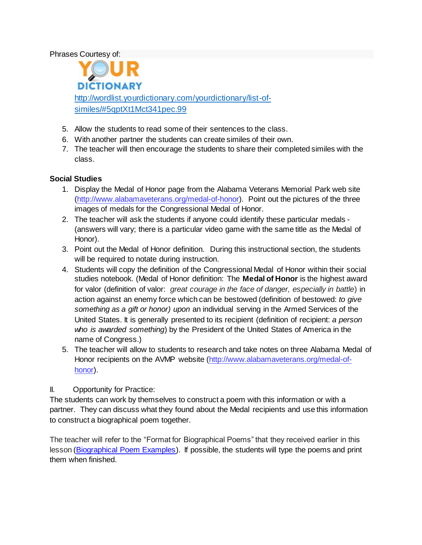Phrases Courtesy of:

**DICTIONARY** [http://wordlist.yourdictionary.com/yourdictionary/list-of](http://wordlist.yourdictionary.com/yourdictionary/list-of-similes/#5qptXt1Mct341pec.99)[similes/#5qptXt1Mct341pec.99](http://wordlist.yourdictionary.com/yourdictionary/list-of-similes/#5qptXt1Mct341pec.99)

- 5. Allow the students to read some of their sentences to the class.
- 6. With another partner the students can create similes of their own.
- 7. The teacher will then encourage the students to share their completed similes with the class.

# **Social Studies**

- 1. Display the Medal of Honor page from the Alabama Veterans Memorial Park web site [\(http://www.alabamaveterans.org/medal-of-honor\)](http://www.alabamaveterans.org/medal-of-honor). Point out the pictures of the three images of medals for the Congressional Medal of Honor.
- 2. The teacher will ask the students if anyone could identify these particular medals (answers will vary; there is a particular video game with the same title as the Medal of Honor).
- 3. Point out the Medal of Honor definition. During this instructional section, the students will be required to notate during instruction.
- 4. Students will copy the definition of the Congressional Medal of Honor within their social studies notebook. (Medal of Honor definition: The **Medal of Honor** is the highest award for valor (definition of valor: *great courage in the face of danger, especially in battle*) in action against an enemy force which can be bestowed (definition of bestowed: *to give something as a gift or honor) upon* an individual serving in the Armed Services of the United States. It is generally presented to its recipient (definition of recipient: *a person who is awarded something*) by the President of the United States of America in the name of Congress.)
- 5. The teacher will allow to students to research and take notes on three Alabama Medal of Honor recipients on the AVMP website [\(http://www.alabamaveterans.org/medal-of](http://www.alabamaveterans.org/medal-of-honor)[honor\)](http://www.alabamaveterans.org/medal-of-honor).
- II. Opportunity for Practice:

The students can work by themselves to construct a poem with this information or with a partner. They can discuss what they found about the Medal recipients and use this information to construct a biographical poem together.

The teacher will refer to the "Format for Biographical Poems" that they received earlier in this lesson [\(Biographical Poem Examples\)](http://docs.wixstatic.com/ugd/3aa6e6_ca39efdca65e4ce9960cf163a2eb07c0.pdf). If possible, the students will type the poems and print them when finished.